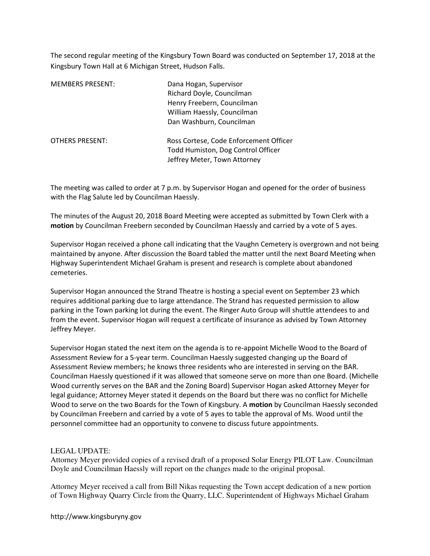The second regular meeting of the Kingsbury Town Board was conducted on September 17, 2018 at the Kingsbury Town Hall at 6 Michigan Street, Hudson Falls.

| <b>MEMBERS PRESENT:</b> | Dana Hogan, Supervisor<br>Richard Doyle, Councilman<br>Henry Freebern, Councilman<br>William Haessly, Councilman<br>Dan Washburn, Councilman |
|-------------------------|----------------------------------------------------------------------------------------------------------------------------------------------|
| <b>OTHERS PRESENT:</b>  | Ross Cortese, Code Enforcement Officer<br>Todd Humiston, Dog Control Officer<br>Jeffrey Meter, Town Attorney                                 |

The meeting was called to order at 7 p.m. by Supervisor Hogan and opened for the order of business with the Flag Salute led by Councilman Haessly.

The minutes of the August 20, 2018 Board Meeting were accepted as submitted by Town Clerk with a motion by Councilman Freebern seconded by Councilman Haessly and carried by a vote of 5 ayes.

Supervisor Hogan received a phone call indicating that the Vaughn Cemetery is overgrown and not being maintained by anyone. After discussion the Board tabled the matter until the next Board Meeting when Highway Superintendent Michael Graham is present and research is complete about abandoned cemeteries.

Supervisor Hogan announced the Strand Theatre is hosting a special event on September 23 which requires additional parking due to large attendance. The Strand has requested permission to allow parking in the Town parking lot during the event. The Ringer Auto Group will shuttle attendees to and from the event. Supervisor Hogan will request a certificate of insurance as advised by Town Attorney Jeffrey Meyer.

Supervisor Hogan stated the next item on the agenda is to re-appoint Michelle Wood to the Board of Assessment Review for a 5-year term. Councilman Haessly suggested changing up the Board of Assessment Review members; he knows three residents who are interested in serving on the BAR. Councilman Haessly questioned if it was allowed that someone serve on more than one Board. (Michelle Wood currently serves on the BAR and the Zoning Board) Supervisor Hogan asked Attorney Meyer for legal guidance; Attorney Meyer stated it depends on the Board but there was no conflict for Michelle Wood to serve on the two Boards for the Town of Kingsbury. A motion by Councilman Haessly seconded by Councilman Freebern and carried by a vote of 5 ayes to table the approval of Ms. Wood until the personnel committee had an opportunity to convene to discuss future appointments.

# LEGAL UPDATE:

Attorney Meyer provided copies of a revised draft of a proposed Solar Energy PILOT Law. Councilman Doyle and Councilman Haessly will report on the changes made to the original proposal.

Attorney Meyer received a call from Bill Nikas requesting the Town accept dedication of a new portion of Town Highway Quarry Circle from the Quarry, LLC. Superintendent of Highways Michael Graham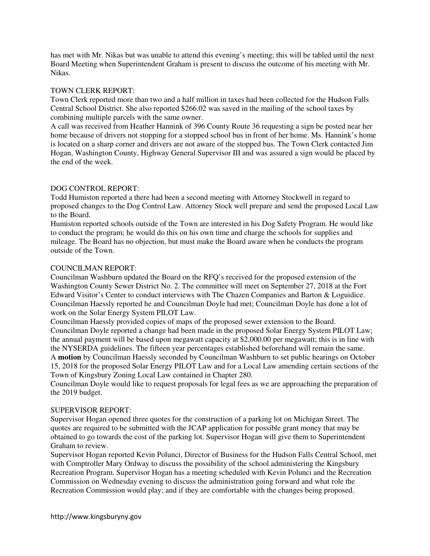has met with Mr. Nikas but was unable to attend this evening's meeting; this will be tabled until the next Board Meeting when Superintendent Graham is present to discuss the outcome of his meeting with Mr. Nikas.

### TOWN CLERK REPORT:

Town Clerk reported more than two and a half million in taxes had been collected for the Hudson Falls Central School District. She also reported \$266.02 was saved in the mailing of the school taxes by combining multiple parcels with the same owner.

A call was received from Heather Hannink of 396 County Route 36 requesting a sign be posted near her home because of drivers not stopping for a stopped school bus in front of her home. Ms. Hannink's home is located on a sharp corner and drivers are not aware of the stopped bus. The Town Clerk contacted Jim Hogan, Washington County, Highway General Supervisor III and was assured a sign would be placed by the end of the week.

# DOG CONTROL REPORT:

Todd Humiston reported a there had been a second meeting with Attorney Stockwell in regard to proposed changes to the Dog Control Law. Attorney Stock well prepare and send the proposed Local Law to the Board.

Humiston reported schools outside of the Town are interested in his Dog Safety Program. He would like to conduct the program; he would do this on his own time and charge the schools for supplies and mileage. The Board has no objection, but must make the Board aware when he conducts the program outside of the Town.

### COUNCILMAN REPORT:

Councilman Washburn updated the Board on the RFQ's received for the proposed extension of the Washington County Sewer District No. 2. The committee will meet on September 27, 2018 at the Fort Edward Visitor's Center to conduct interviews with The Chazen Companies and Barton & Loguidice. Councilman Haessly reported he and Councilman Doyle had met; Councilman Doyle has done a lot of work on the Solar Energy System PILOT Law.

Councilman Haessly provided copies of maps of the proposed sewer extension to the Board. Councilman Doyle reported a change had been made in the proposed Solar Energy System PILOT Law; the annual payment will be based upon megawatt capacity at \$2,000.00 per megawatt; this is in line with the NYSERDA guidelines. The fifteen year percentages established beforehand will remain the same. A **motion** by Councilman Haessly seconded by Councilman Washburn to set public hearings on October 15, 2018 for the proposed Solar Energy PILOT Law and for a Local Law amending certain sections of the Town of Kingsbury Zoning Local Law contained in Chapter 280.

Councilman Doyle would like to request proposals for legal fees as we are approaching the preparation of the 2019 budget.

#### SUPERVISOR REPORT:

Supervisor Hogan opened three quotes for the construction of a parking lot on Michigan Street. The quotes are required to be submitted with the JCAP application for possible grant money that may be obtained to go towards the cost of the parking lot. Supervisor Hogan will give them to Superintendent Graham to review.

Supervisor Hogan reported Kevin Polunci, Director of Business for the Hudson Falls Central School, met with Comptroller Mary Ordway to discuss the possibility of the school administering the Kingsbury Recreation Program. Supervisor Hogan has a meeting scheduled with Kevin Polunci and the Recreation Commission on Wednesday evening to discuss the administration going forward and what role the Recreation Commission would play; and if they are comfortable with the changes being proposed.